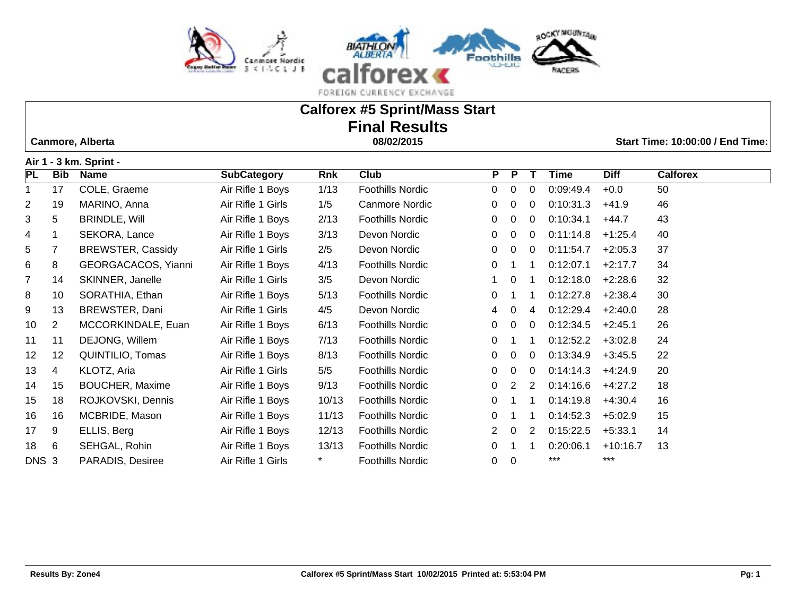

# **Calforex #5 Sprint/Mass Start Final Results**

 **Canmore, Alberta 08/02/2015 Start Time: 10:00:00 / End Time:** 

**Air 1 - 3 km. Sprint -** 

| , ,,, ,        |                | ------                   |                    |        |                         |                |                |          |             |             |                 |
|----------------|----------------|--------------------------|--------------------|--------|-------------------------|----------------|----------------|----------|-------------|-------------|-----------------|
| PL             | <b>Bib</b>     | <b>Name</b>              | <b>SubCategory</b> | Rnk    | <b>Club</b>             | P.             | P              |          | <b>Time</b> | <b>Diff</b> | <b>Calforex</b> |
| 1              | 17             | COLE, Graeme             | Air Rifle 1 Boys   | 1/13   | <b>Foothills Nordic</b> | $\overline{0}$ | 0              | 0        | 0.09:49.4   | $+0.0$      | 50              |
| $\overline{c}$ | 19             | MARINO, Anna             | Air Rifle 1 Girls  | 1/5    | Canmore Nordic          | 0              | 0              | 0        | 0:10:31.3   | $+41.9$     | 46              |
| 3              | 5              | <b>BRINDLE, Will</b>     | Air Rifle 1 Boys   | 2/13   | <b>Foothills Nordic</b> | 0              | $\Omega$       | $\Omega$ | 0:10:34.1   | $+44.7$     | 43              |
| 4              |                | SEKORA, Lance            | Air Rifle 1 Boys   | 3/13   | Devon Nordic            | 0              | $\Omega$       | $\Omega$ | 0:11:14.8   | $+1:25.4$   | 40              |
| 5              | 7              | <b>BREWSTER, Cassidy</b> | Air Rifle 1 Girls  | 2/5    | Devon Nordic            | 0              | 0              | 0        | 0:11:54.7   | $+2:05.3$   | 37              |
| 6              | 8              | GEORGACACOS, Yianni      | Air Rifle 1 Boys   | 4/13   | <b>Foothills Nordic</b> | 0              |                |          | 0:12:07.1   | $+2:17.7$   | 34              |
| $\overline{7}$ | 14             | SKINNER, Janelle         | Air Rifle 1 Girls  | 3/5    | Devon Nordic            |                | $\mathbf{0}$   |          | 0:12:18.0   | $+2:28.6$   | 32              |
| 8              | 10             | SORATHIA, Ethan          | Air Rifle 1 Boys   | 5/13   | <b>Foothills Nordic</b> | 0              |                | -1       | 0:12:27.8   | $+2:38.4$   | 30              |
| 9              | 13             | BREWSTER, Dani           | Air Rifle 1 Girls  | 4/5    | Devon Nordic            | 4              | 0              | 4        | 0:12:29.4   | $+2:40.0$   | 28              |
| 10             | $\overline{2}$ | MCCORKINDALE, Euan       | Air Rifle 1 Boys   | 6/13   | <b>Foothills Nordic</b> | 0              | $\Omega$       | $\Omega$ | 0:12:34.5   | $+2:45.1$   | 26              |
| 11             | 11             | DEJONG, Willem           | Air Rifle 1 Boys   | 7/13   | <b>Foothills Nordic</b> | 0              |                |          | 0:12:52.2   | $+3:02.8$   | 24              |
| 12             | 12             | QUINTILIO, Tomas         | Air Rifle 1 Boys   | 8/13   | <b>Foothills Nordic</b> | 0              | $\Omega$       | 0        | 0:13:34.9   | $+3:45.5$   | 22              |
| 13             | 4              | KLOTZ, Aria              | Air Rifle 1 Girls  | 5/5    | <b>Foothills Nordic</b> | 0              | 0              | 0        | 0:14:14.3   | $+4:24.9$   | 20              |
| 14             | 15             | <b>BOUCHER, Maxime</b>   | Air Rifle 1 Boys   | 9/13   | <b>Foothills Nordic</b> | 0              | 2              | 2        | 0.14:16.6   | $+4:27.2$   | 18              |
| 15             | 18             | ROJKOVSKI, Dennis        | Air Rifle 1 Boys   | 10/13  | <b>Foothills Nordic</b> | 0              |                | -1       | 0:14:19.8   | $+4:30.4$   | 16              |
| 16             | 16             | MCBRIDE, Mason           | Air Rifle 1 Boys   | 11/13  | <b>Foothills Nordic</b> | 0              |                |          | 0:14:52.3   | $+5:02.9$   | 15              |
| 17             | 9              | ELLIS, Berg              | Air Rifle 1 Boys   | 12/13  | <b>Foothills Nordic</b> | $\mathbf{2}^-$ | $\overline{0}$ | 2        | 0:15:22.5   | $+5:33.1$   | 14              |
| 18             | 6              | SEHGAL, Rohin            | Air Rifle 1 Boys   | 13/13  | <b>Foothills Nordic</b> | 0              |                |          | 0:20:06.1   | $+10:16.7$  | 13              |
| DNS 3          |                | PARADIS, Desiree         | Air Rifle 1 Girls  | $\ast$ | <b>Foothills Nordic</b> | 0              | $\overline{0}$ |          | ***         | $***$       |                 |
|                |                |                          |                    |        |                         |                |                |          |             |             |                 |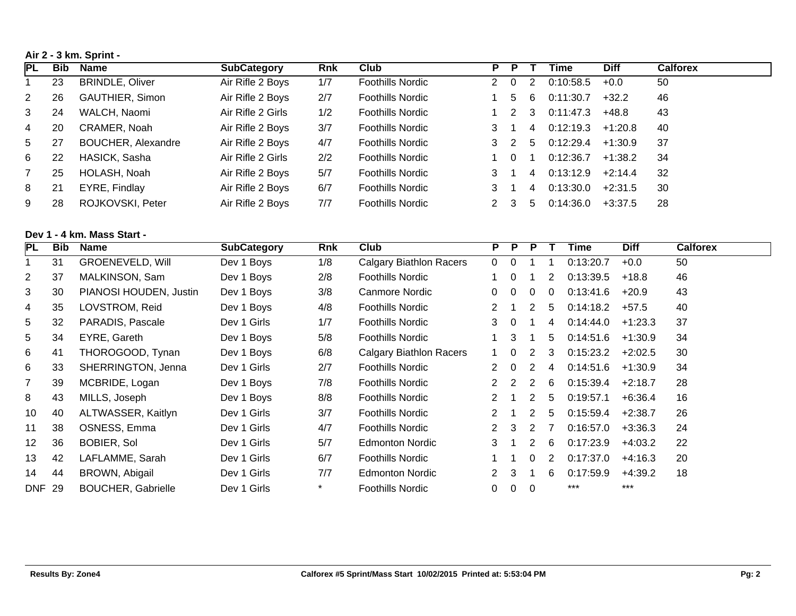**Air 2 - 3 km. Sprint -** 

| PL | Bib | Name                      | <b>SubCategory</b> | Rnk | Club                    | Р. | - P      |                | Time      | <b>Diff</b> | <b>Calforex</b> |
|----|-----|---------------------------|--------------------|-----|-------------------------|----|----------|----------------|-----------|-------------|-----------------|
|    | 23  | <b>BRINDLE, Oliver</b>    | Air Rifle 2 Boys   | 1/7 | <b>Foothills Nordic</b> | 2  | $\Omega$ | $\overline{2}$ | 0:10:58.5 | $+0.0$      | 50              |
| 2  | 26  | GAUTHIER, Simon           | Air Rifle 2 Boys   | 2/7 | <b>Foothills Nordic</b> |    | 5.       | 6              | 0:11:30.7 | $+32.2$     | 46              |
| 3  | 24  | WALCH, Naomi              | Air Rifle 2 Girls  | 1/2 | <b>Foothills Nordic</b> |    | 2        | 3              | 0:11:47.3 | +48.8       | 43              |
| 4  | 20  | CRAMER, Noah              | Air Rifle 2 Boys   | 3/7 | <b>Foothills Nordic</b> |    |          | 4              | 0:12:19.3 | +1:20.8     | 40              |
| 5  | -27 | <b>BOUCHER, Alexandre</b> | Air Rifle 2 Boys   | 4/7 | <b>Foothills Nordic</b> |    | 3 2      | 5              | 0.12:29.4 | $+1:30.9$   | 37              |
| 6  | 22  | HASICK, Sasha             | Air Rifle 2 Girls  | 2/2 | <b>Foothills Nordic</b> |    | 0        |                | 0:12:36.7 | $+1:38.2$   | -34             |
|    | 25  | HOLASH, Noah              | Air Rifle 2 Boys   | 5/7 | <b>Foothills Nordic</b> |    |          | 4              | 0:13:12.9 | $+2:14.4$   | 32              |
| 8  | 21  | EYRE, Findlay             | Air Rifle 2 Boys   | 6/7 | <b>Foothills Nordic</b> |    |          | 4              | 0:13:30.0 | $+2:31.5$   | 30              |
| 9  | 28  | ROJKOVSKI, Peter          | Air Rifle 2 Boys   | 7/7 | <b>Foothills Nordic</b> |    | 3.       | 5.             | 0.14.36.0 | $+3:37.5$   | 28              |

# **Dev 1 - 4 km. Mass Start -**

| <b>PL</b>      | Bib | Name                      | <b>SubCategory</b> | Rnk    | Club                           | P             | <b>P</b>       | <b>P</b>                 |                | Time      | <b>Diff</b> | <b>Calforex</b> |
|----------------|-----|---------------------------|--------------------|--------|--------------------------------|---------------|----------------|--------------------------|----------------|-----------|-------------|-----------------|
|                | 31  | <b>GROENEVELD, Will</b>   | Dev 1 Boys         | 1/8    | <b>Calgary Biathlon Racers</b> | $\Omega$      | $\Omega$       |                          |                | 0:13:20.7 | $+0.0$      | 50              |
| $\overline{2}$ | 37  | MALKINSON, Sam            | Dev 1 Boys         | 2/8    | <b>Foothills Nordic</b>        |               | $\overline{0}$ |                          | 2              | 0:13:39.5 | $+18.8$     | 46              |
| 3              | 30  | PIANOSI HOUDEN, Justin    | Dev 1 Boys         | 3/8    | Canmore Nordic                 | $\Omega$      | $\Omega$       | $\Omega$                 | $\Omega$       | 0:13:41.6 | $+20.9$     | 43              |
| 4              | 35  | LOVSTROM, Reid            | Dev 1 Boys         | 4/8    | <b>Foothills Nordic</b>        | 2             |                | 2                        | 5              | 0:14:18.2 | $+57.5$     | 40              |
| 5              | 32  | PARADIS, Pascale          | Dev 1 Girls        | 1/7    | <b>Foothills Nordic</b>        | 3             | $\Omega$       |                          | 4              | 0:14:44.0 | $+1:23.3$   | 37              |
| 5              | 34  | EYRE, Gareth              | Dev 1 Boys         | 5/8    | <b>Foothills Nordic</b>        |               | 3              |                          | 5              | 0:14:51.6 | $+1:30.9$   | 34              |
| 6              | 41  | THOROGOOD, Tynan          | Dev 1 Boys         | 6/8    | Calgary Biathlon Racers        | $1 \quad$     | $\Omega$       | 2                        | 3              | 0:15:23.2 | $+2:02.5$   | 30              |
| 6              | 33  | SHERRINGTON, Jenna        | Dev 1 Girls        | 2/7    | <b>Foothills Nordic</b>        | $\mathcal{P}$ | $\Omega$       | 2                        | 4              | 0:14:51.6 | $+1:30.9$   | 34              |
| $\overline{7}$ | 39  | MCBRIDE, Logan            | Dev 1 Boys         | 7/8    | <b>Foothills Nordic</b>        |               | $2\quad 2$     | 2                        | -6             | 0:15:39.4 | $+2:18.7$   | 28              |
| 8              | 43  | MILLS, Joseph             | Dev 1 Boys         | 8/8    | <b>Foothills Nordic</b>        | 2             |                | 2                        | 5              | 0:19:57.1 | $+6:36.4$   | 16              |
| 10             | 40  | ALTWASSER, Kaitlyn        | Dev 1 Girls        | 3/7    | <b>Foothills Nordic</b>        | 2             |                | 2                        | 5              | 0:15:59.4 | $+2:38.7$   | 26              |
| 11             | 38  | OSNESS, Emma              | Dev 1 Girls        | 4/7    | <b>Foothills Nordic</b>        |               | $2 \quad 3$    | 2                        | $\overline{7}$ | 0:16:57.0 | $+3:36.3$   | 24              |
| 12             | 36  | <b>BOBIER, Sol</b>        | Dev 1 Girls        | 5/7    | <b>Edmonton Nordic</b>         | $\mathbf{3}$  |                | 2                        | -6             | 0:17:23.9 | $+4:03.2$   | 22              |
| 13             | 42  | LAFLAMME, Sarah           | Dev 1 Girls        | 6/7    | <b>Foothills Nordic</b>        |               |                | $\Omega$                 | 2              | 0:17:37.0 | $+4:16.3$   | 20              |
| 14             | 44  | BROWN, Abigail            | Dev 1 Girls        | 7/7    | <b>Edmonton Nordic</b>         | 2             | 3              |                          | 6              | 0:17:59.9 | +4:39.2     | 18              |
| <b>DNF 29</b>  |     | <b>BOUCHER, Gabrielle</b> | Dev 1 Girls        | $\ast$ | Foothills Nordic               | 0             | $\overline{0}$ | $\overline{\phantom{0}}$ |                | ***       | $***$       |                 |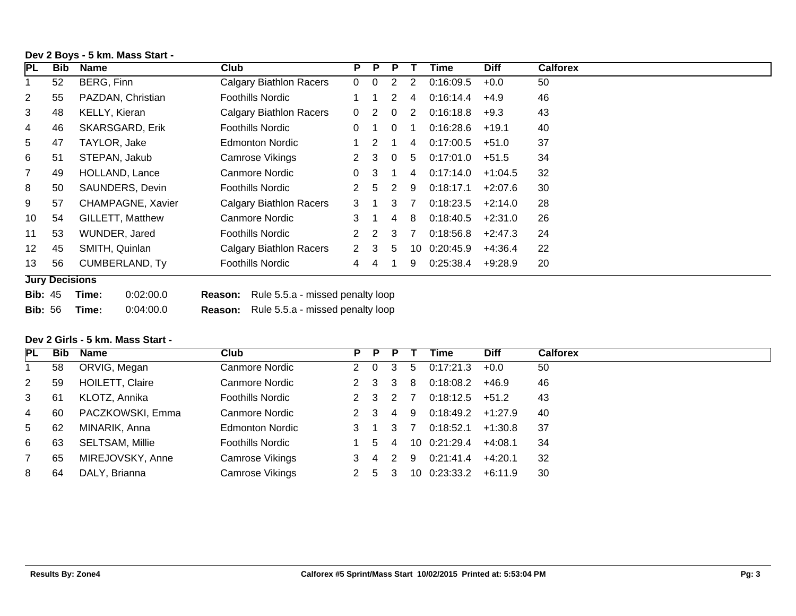| PL             | Bib | Name                   | Club                                               |                | P P | P                    |    | Time         | <b>Diff</b> | <b>Calforex</b> |
|----------------|-----|------------------------|----------------------------------------------------|----------------|-----|----------------------|----|--------------|-------------|-----------------|
|                | 52  | BERG, Finn             | <b>Calgary Biathlon Racers</b>                     | $\overline{0}$ | 0   | 2                    | 2  | 0:16:09.5    | $+0.0$      | 50              |
| $\overline{2}$ | 55  | PAZDAN, Christian      | Foothills Nordic                                   |                | 1   | $\mathbf{2}^{\circ}$ | 4  | 0:16:14.4    | $+4.9$      | 46              |
| 3              | 48  | <b>KELLY, Kieran</b>   | Calgary Biathlon Racers                            | $\Omega$       | 2   | $\Omega$             | 2  | 0:16:18.8    | $+9.3$      | 43              |
| 4              | 46  | <b>SKARSGARD, Erik</b> | Foothills Nordic                                   | 0              |     | $\Omega$             |    | 0:16:28.6    | $+19.1$     | 40              |
| 5              | 47  | TAYLOR, Jake           | Edmonton Nordic                                    |                | 2   |                      | 4  | 0:17:00.5    | +51.0       | 37              |
| 6              | 51  | STEPAN, Jakub          | Camrose Vikings                                    | 2              | 3   | $\overline{0}$       | 5  | 0:17:01.0    | $+51.5$     | 34              |
| $\overline{7}$ | 49  | HOLLAND, Lance         | Canmore Nordic                                     | 0              | 3   |                      | 4  | 0:17:14.0    | $+1:04.5$   | 32              |
| 8              | 50  | SAUNDERS, Devin        | Foothills Nordic                                   | 2              | -5  | 2                    | 9  | 0:18:17.1    | $+2:07.6$   | 30              |
| 9              | 57  | CHAMPAGNE, Xavier      | Calgary Biathlon Racers                            | 3              |     | 3                    | 7  | 0:18:23.5    | $+2:14.0$   | 28              |
| 10             | 54  | GILLETT, Matthew       | Canmore Nordic                                     | 3              |     | $\overline{4}$       | -8 | 0:18:40.5    | +2:31.0     | 26              |
| 11             | 53  | WUNDER, Jared          | Foothills Nordic                                   | 2              | 2   | 3                    | 7  | 0:18:56.8    | $+2:47.3$   | 24              |
| 12             | 45  | SMITH, Quinlan         | Calgary Biathlon Racers                            | $\mathcal{P}$  | 3   | 5                    |    | 10 0:20:45.9 | $+4:36.4$   | 22              |
| 13             | 56  | <b>CUMBERLAND, Ty</b>  | Foothills Nordic                                   | 4              | 4   |                      | 9  | 0:25:38.4    | $+9:28.9$   | 20              |
|                |     | <b>Jury Decisions</b>  |                                                    |                |     |                      |    |              |             |                 |
| <b>Bib: 45</b> |     | 0:02:00.0<br>Time:     | Rule 5.5.a - missed penalty loop<br><b>Reason:</b> |                |     |                      |    |              |             |                 |

# **Dev 2 Boys - 5 km. Mass Start -**

**Bib:** 56 **Time:** 0:04:00.0 **Reason:** Rule 5.5.a - missed penalty loop

### **Dev 2 Girls - 5 km. Mass Start -**

| <b>PL</b>      | Bib | <b>Name</b>            | Club                    | P.  | P.    | P       |    | Time          | <b>Diff</b> | <b>Calforex</b> |
|----------------|-----|------------------------|-------------------------|-----|-------|---------|----|---------------|-------------|-----------------|
|                | 58  | ORVIG, Megan           | Canmore Nordic          |     |       | 2 0 3   | 5  | 0:17:21.3     | $+0.0$      | 50              |
| $\overline{2}$ | 59  | <b>HOILETT, Claire</b> | Canmore Nordic          |     |       | 2 3 3 8 |    | 0:18:08.2     | +46.9       | 46              |
| 3              | -61 | KLOTZ, Annika          | <b>Foothills Nordic</b> |     |       | 2 3 2 7 |    | 0:18:12.5     | $+51.2$     | 43              |
| 4              | 60  | PACZKOWSKI, Emma       | Canmore Nordic          |     | 2 3 4 |         | -9 | 0:18:49.2     | +1:27.9     | 40              |
| 5 <sup>5</sup> | -62 | MINARIK, Anna          | Edmonton Nordic         |     |       | 3 1 3 7 |    | 0:18:52.1     | $+1:30.8$   | -37             |
| 6              | 63  | SELTSAM, Millie        | Foothills Nordic        |     | 54    |         |    | 10 0:21:29.4  | $+4:08.1$   | 34              |
|                | 65  | MIREJOVSKY, Anne       | Camrose Vikings         | 3 4 |       |         |    | 2 9 0:21:41.4 | $+4:20.1$   | -32             |
| 8              | 64  | DALY, Brianna          | Camrose Vikings         |     | 5     |         | 10 | 0:23:33.2     | +6:11.9     | 30              |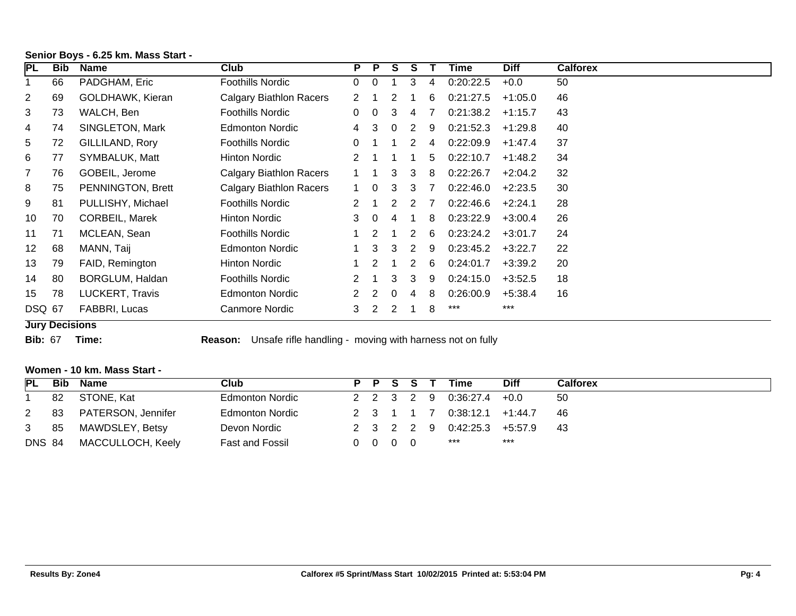| PL             | Bib | <b>Name</b>              | Club                    | P. | <b>P</b> | S. | S |     | Time      | <b>Diff</b> | <b>Calforex</b> |
|----------------|-----|--------------------------|-------------------------|----|----------|----|---|-----|-----------|-------------|-----------------|
|                | 66  | PADGHAM, Eric            | Foothills Nordic        | 0  | $\Omega$ |    | 3 | 4   | 0:20:22.5 | $+0.0$      | 50              |
| $\overline{2}$ | 69  | GOLDHAWK, Kieran         | Calgary Biathlon Racers | 2  |          | 2  |   | 6   | 0:21:27.5 | $+1:05.0$   | 46              |
| 3              | 73  | WALCH, Ben               | Foothills Nordic        | 0  | $\Omega$ | 3  | 4 | 7   | 0:21:38.2 | $+1:15.7$   | 43              |
| 4              | 74  | SINGLETON, Mark          | Edmonton Nordic         | 4  | 3        | 0  | 2 | - 9 | 0:21:52.3 | +1:29.8     | 40              |
| 5              | 72  | GILLILAND, Rory          | Foothills Nordic        | 0  |          |    | 2 | 4   | 0:22:09.9 | $+1:47.4$   | 37              |
| 6              | 77  | SYMBALUK, Matt           | <b>Hinton Nordic</b>    | 2  |          |    |   | 5   | 0:22:10.7 | $+1:48.2$   | 34              |
| 7              | 76  | GOBEIL, Jerome           | Calgary Biathlon Racers |    |          | 3  | 3 | 8   | 0:22:26.7 | $+2:04.2$   | 32              |
| 8              | 75  | <b>PENNINGTON, Brett</b> | Calgary Biathlon Racers |    | 0        | 3  | 3 |     | 0:22:46.0 | $+2:23.5$   | 30              |
| 9              | 81  | PULLISHY, Michael        | Foothills Nordic        |    |          | 2  | 2 |     | 0:22:46.6 | $+2:24.1$   | 28              |
| 10             | 70  | <b>CORBEIL, Marek</b>    | Hinton Nordic           | 3  | $\Omega$ |    |   | 8   | 0:23:22.9 | $+3:00.4$   | 26              |
| 11             | 71  | MCLEAN, Sean             | Foothills Nordic        |    | 2        |    | 2 | -6  | 0:23:24.2 | $+3:01.7$   | 24              |
| 12             | 68  | MANN, Taij               | <b>Edmonton Nordic</b>  |    | 3        | 3  | 2 | 9   | 0:23:45.2 | $+3:22.7$   | 22              |
| 13             | 79  | FAID, Remington          | Hinton Nordic           |    | 2        |    | 2 | 6   | 0:24:01.7 | $+3:39.2$   | 20              |
| 14             | 80  | BORGLUM, Haldan          | Foothills Nordic        | 2  |          | 3  | 3 | 9   | 0:24:15.0 | $+3:52.5$   | 18              |
| 15             | 78  | LUCKERT, Travis          | <b>Edmonton Nordic</b>  |    |          | 0  | 4 | 8   | 0:26:00.9 | $+5:38.4$   | 16              |
| <b>DSQ 67</b>  |     | FABBRI, Lucas            | Canmore Nordic          | 3  | 2        | 2  |   | 8   | ***       | $***$       |                 |

# **Senior Boys - 6.25 km. Mass Start -**

### **Jury Decisions**

**Bib:** 67 **Time: Reason:** Unsafe rifle handling - moving with harness not on fully

### **Women - 10 km. Mass Start -**

| PL            | Bib | Name                  | Club                   |  | P P S S T                |  | Time                        | Diff | <b>Calforex</b> |
|---------------|-----|-----------------------|------------------------|--|--------------------------|--|-----------------------------|------|-----------------|
|               | 82  | STONE, Kat            | <b>Edmonton Nordic</b> |  |                          |  | 2 2 3 2 9 0:36:27.4 +0.0    |      | 50              |
| $\mathbf{2}$  |     | 83 PATERSON, Jennifer | <b>Edmonton Nordic</b> |  |                          |  | 2 3 1 1 7 0:38:12.1 +1:44.7 |      | - 46            |
|               |     | 3 85 MAWDSLEY, Betsy  | Devon Nordic           |  |                          |  | 2 3 2 2 9 0:42:25.3 +5:57.9 |      | -43             |
| <b>DNS 84</b> |     | MACCULLOCH, Keely     | <b>Fast and Fossil</b> |  | $0\quad 0\quad 0\quad 0$ |  | ***                         | ***  |                 |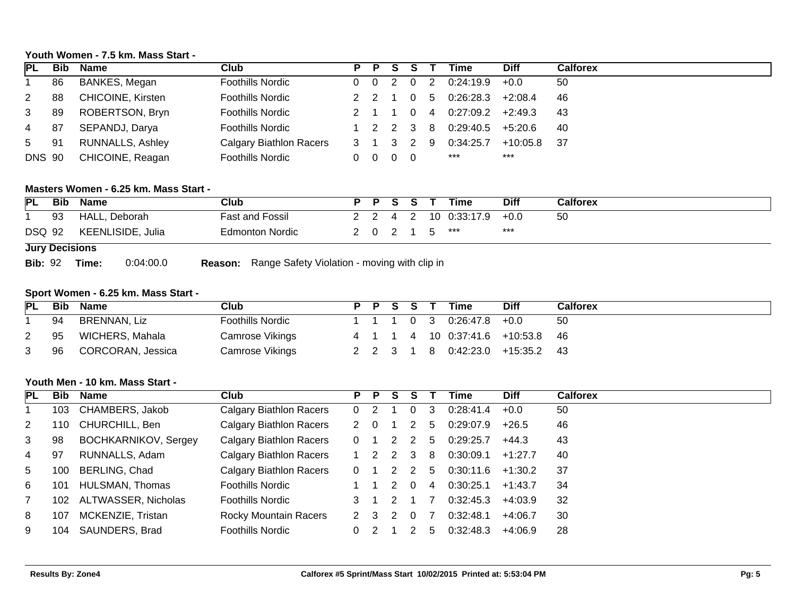# **Youth Women - 7.5 km. Mass Start -**

| IPL.           | Bib | Name                    | Club                    |         | P P S S T |     | Time      | <b>Diff</b> | <b>Calforex</b> |
|----------------|-----|-------------------------|-------------------------|---------|-----------|-----|-----------|-------------|-----------------|
|                | 86  | BANKES, Megan           | <b>Foothills Nordic</b> |         | 0 0 2 0 2 |     | 0:24:19.9 | $+0.0$      | 50              |
| $\mathbf{2}$   | 88  | CHICOINE, Kirsten       | <b>Foothills Nordic</b> |         |           | - 5 | 0:26:28.3 | $+2:08.4$   | 46              |
| 3              | 89  | ROBERTSON, Bryn         | <b>Foothills Nordic</b> |         | 2 1 1 0 4 |     | 0:27:09.2 | $+2:49.3$   | -43             |
| 4              | 87  | SEPANDJ, Darya          | Foothills Nordic        |         | 1 2 2 3 8 |     | 0:29:40.5 | +5:20.6     | -40             |
| 5 <sub>5</sub> | 91  | <b>RUNNALLS, Ashley</b> | Calgary Biathlon Racers | 3 1 3 2 |           | - 9 | 0:34:25.7 | +10:05.8    | - 37            |
| <b>DNS 90</b>  |     | CHICOINE, Reagan        | <b>Foothills Nordic</b> | 0       | - 0       |     | ***       | $***$       |                 |

### **Masters Women - 6.25 km. Mass Start -**

| PL            | Bib            | <b>Name</b>       | Club                   |  | PSST    | Time          | <b>Diff</b> | <b>Calforex</b> |
|---------------|----------------|-------------------|------------------------|--|---------|---------------|-------------|-----------------|
|               | 93             | HALL, Deborah     | <b>Fast and Fossil</b> |  | 2 2 4 2 | 10 0:33:17.9  | $+0.0$      | 50              |
| <b>DSQ 92</b> |                | KEENLISIDE, Julia | <b>Edmonton Nordic</b> |  |         | 2 0 2 1 5 *** | ***         |                 |
|               | Jury Decisions |                   |                        |  |         |               |             |                 |

#### **Jury Decisions**

**Bib:** 92 **Time:** 0:04:00.0 **Reason:** Range Safety Violation - moving with clip in

### **Sport Women - 6.25 km. Mass Start -**

| <b>PL</b> | Bib | Name                 | Club                    |  |         | P P S S T |     | <b>Time</b>         | <b>Diff</b>                      | Calforex |
|-----------|-----|----------------------|-------------------------|--|---------|-----------|-----|---------------------|----------------------------------|----------|
|           | 94  | BRENNAN, Liz         | <b>Foothills Nordic</b> |  |         |           |     | 1 1 1 0 3 0:26:47.8 | $+0.0$                           | 50       |
|           | 95  | WICHERS, Mahala      | Camrose Vikings         |  |         |           |     |                     | 4 1 1 4 10 0:37:41.6 +10:53.8 46 |          |
| 3         |     | 96 CORCORAN, Jessica | Camrose Vikings         |  | 2 2 3 1 |           | - 8 |                     | 0:42:23.0 +15:35.2 43            |          |

### **Youth Men - 10 km. Mass Start -**

| <b>PL</b> | Bib | Name                 | Club                           | P.            | $\mathsf{P}$ | S. | S.       |             | Time      | <b>Diff</b> | <b>Calforex</b> |
|-----------|-----|----------------------|--------------------------------|---------------|--------------|----|----------|-------------|-----------|-------------|-----------------|
|           | 103 | CHAMBERS, Jakob      | <b>Calgary Biathlon Racers</b> | $\Omega$      |              |    | 0        | 3           | 0:28:41.4 | $+0.0$      | 50              |
| 2         | 110 | CHURCHILL, Ben       | Calgary Biathlon Racers        | $\mathcal{P}$ |              |    |          | $5^{\circ}$ | 0:29:07.9 | $+26.5$     | 46              |
| 3         | 98  | BOCHKARNIKOV, Sergey | <b>Calgary Biathlon Racers</b> | $\Omega$      |              |    |          | 5.          | 0:29:25.7 | +44.3       | 43              |
| 4         | 97  | RUNNALLS, Adam       | <b>Calgary Biathlon Racers</b> |               |              |    | 3        | 8           | 0:30:09.1 | $+1:27.7$   | 40              |
| 5         | 100 | BERLING, Chad        | <b>Calgary Biathlon Racers</b> |               |              |    |          | 5           | 0:30:11.6 | $+1:30.2$   | -37             |
| 6         | 101 | HULSMAN, Thomas      | <b>Foothills Nordic</b>        |               |              |    |          | 4           | 0:30:25.1 | $+1:43.7$   | 34              |
|           | 102 | ALTWASSER, Nicholas  | <b>Foothills Nordic</b>        |               |              |    |          |             | 0:32:45.3 | $+4:03.9$   | 32              |
| 8         | 107 | MCKENZIE, Tristan    | <b>Rocky Mountain Racers</b>   | 2 3           |              |    | $\Omega$ |             | 0:32:48.1 | $+4:06.7$   | 30              |
| 9         | 104 | SAUNDERS, Brad       | <b>Foothills Nordic</b>        |               |              |    |          | b.          | 0:32:48.3 | +4:06.9     | 28              |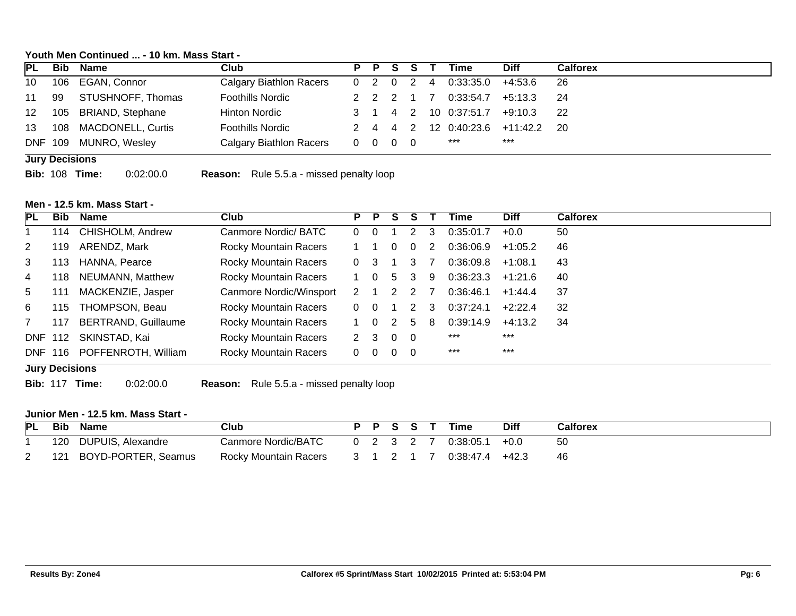### **Youth Men Continued ... - 10 km. Mass Start -**

|     |                      |                                                   |  | P P S S   |                                                                | Time                 | <b>Diff</b> | <b>Calforex</b>               |
|-----|----------------------|---------------------------------------------------|--|-----------|----------------------------------------------------------------|----------------------|-------------|-------------------------------|
|     | 106 EGAN, Connor     | Calgary Biathlon Racers                           |  | 0 2 0 2 4 |                                                                | 0:33:35.0            | +4:53.6     | -26                           |
| -99 | STUSHNOFF, Thomas    | <b>Foothills Nordic</b>                           |  | 2 2 2 1 7 |                                                                | 0:33:54.7            | +5:13.3     | -24                           |
|     | 105 BRIAND, Stephane | Hinton Nordic                                     |  |           |                                                                | 3 1 4 2 10 0:37:51.7 | $+9:10.3$   | - 22                          |
| 108 |                      | <b>Foothills Nordic</b>                           |  |           |                                                                |                      |             | 20                            |
|     |                      | Calgary Biathlon Racers                           |  |           |                                                                | ***                  | $***$       |                               |
|     |                      | <b>MACDONELL, Curtis</b><br>DNF 109 MUNRO, Wesley |  |           | $\begin{array}{ccccccccccccc}\n0 & 0 & 0 & 0 & 0\n\end{array}$ |                      |             | 2 4 4 2 12 0:40:23.6 +11:42.2 |

**Jury Decisions**

**Bib:** 108 **Time:** 0:02:00.0 **Reason:** Rule 5.5.a - missed penalty loop

# **Men - 12.5 km. Mass Start -**

| PL | <b>Bib</b>            | Name                       | Club                         | P P           |          | S             |              |    | Time      | <b>Diff</b> | <b>Calforex</b> |
|----|-----------------------|----------------------------|------------------------------|---------------|----------|---------------|--------------|----|-----------|-------------|-----------------|
|    | 114                   | CHISHOLM, Andrew           | Canmore Nordic/ BATC         | $\Omega$      | $\Omega$ |               | $\mathbf{2}$ | 3  | 0:35:01.7 | $+0.0$      | 50              |
| 2  | 119                   | ARENDZ, Mark               | Rocky Mountain Racers        |               |          |               | $\Omega$     | 2  | 0:36:06.9 | $+1:05.2$   | 46              |
| 3  | 113.                  | HANNA, Pearce              | Rocky Mountain Racers        | $\Omega$      | 3        |               | 3            |    | 0:36:09.8 | $+1:08.1$   | 43              |
| 4  | 118                   | <b>NEUMANN, Matthew</b>    | Rocky Mountain Racers        | 1 0           |          | 5.            | 3            | -9 | 0:36:23.3 | $+1:21.6$   | 40              |
| 5  | 111                   | MACKENZIE, Jasper          | Canmore Nordic/Winsport      | $\mathcal{P}$ |          | $\mathcal{P}$ | 2            |    | 0:36:46.1 | $+1.44.4$   | 37              |
| 6  | 115                   | THOMPSON, Beau             | <b>Rocky Mountain Racers</b> | $\Omega$      |          |               | 2            | 3  | 0:37:24.1 | $+2:22.4$   | 32              |
|    | 117                   | <b>BERTRAND, Guillaume</b> | Rocky Mountain Racers        | $1 \quad 0$   |          | 2             | 5.           | 8  | 0:39:14.9 | $+4:13.2$   | 34              |
|    | <b>DNF 112</b>        | SKINSTAD, Kai              | Rocky Mountain Racers        | $2 \quad 3$   |          | $0\quad 0$    |              |    | $***$     | $***$       |                 |
|    | <b>DNF 116</b>        | POFFENROTH, William        | Rocky Mountain Racers        | $\Omega$      | - 0      | $0\quad 0$    |              |    | $***$     | $***$       |                 |
|    | <b>Jury Decisions</b> |                            |                              |               |          |               |              |    |           |             |                 |

**Bib:** 117 **Time:** 0:02:00.0 **Reason:** Rule 5.5.a - missed penalty loop

### **Junior Men - 12.5 km. Mass Start -**

| PL Bib | Name                    | Club                  |  | P P S S T |  | Time                      | <b>Diff</b> | <b>Calforex</b> |
|--------|-------------------------|-----------------------|--|-----------|--|---------------------------|-------------|-----------------|
|        | 120 DUPUIS, Alexandre   |                       |  |           |  |                           |             | -50             |
|        | 121 BOYD-PORTER, Seamus | Rocky Mountain Racers |  |           |  | 3 1 2 1 7 0:38:47.4 +42.3 |             | -46             |